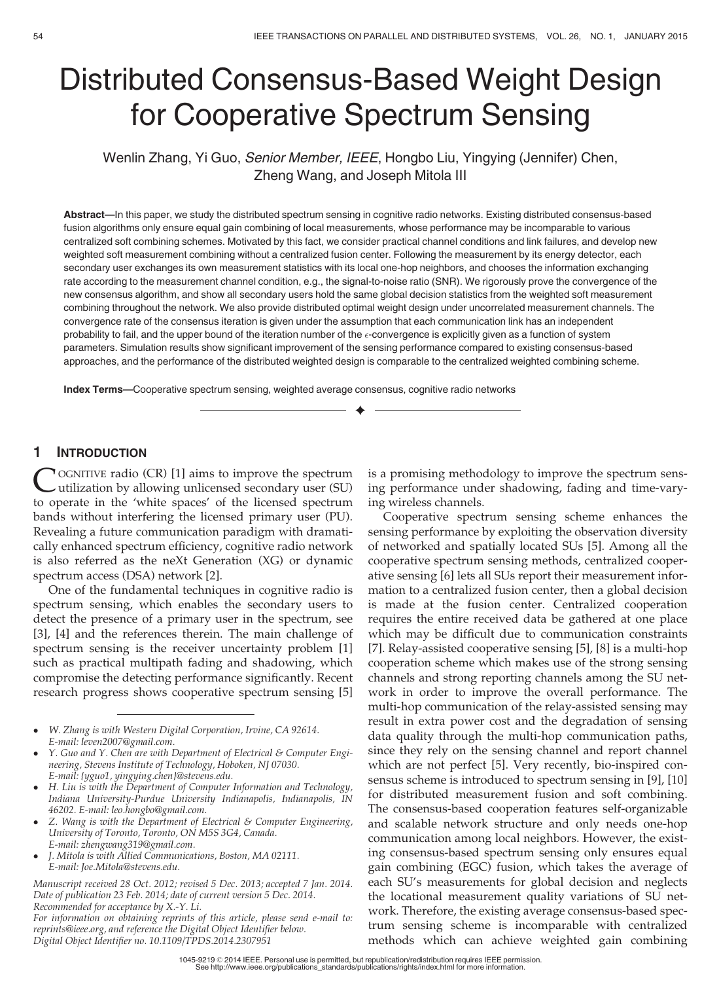# Distributed Consensus-Based Weight Design for Cooperative Spectrum Sensing

Wenlin Zhang, Yi Guo, Senior Member, IEEE, Hongbo Liu, Yingying (Jennifer) Chen, Zheng Wang, and Joseph Mitola III

Abstract—In this paper, we study the distributed spectrum sensing in cognitive radio networks. Existing distributed consensus-based fusion algorithms only ensure equal gain combining of local measurements, whose performance may be incomparable to various centralized soft combining schemes. Motivated by this fact, we consider practical channel conditions and link failures, and develop new weighted soft measurement combining without a centralized fusion center. Following the measurement by its energy detector, each secondary user exchanges its own measurement statistics with its local one-hop neighbors, and chooses the information exchanging rate according to the measurement channel condition, e.g., the signal-to-noise ratio (SNR). We rigorously prove the convergence of the new consensus algorithm, and show all secondary users hold the same global decision statistics from the weighted soft measurement combining throughout the network. We also provide distributed optimal weight design under uncorrelated measurement channels. The convergence rate of the consensus iteration is given under the assumption that each communication link has an independent probability to fail, and the upper bound of the iteration number of the  $\epsilon$ -convergence is explicitly given as a function of system parameters. Simulation results show significant improvement of the sensing performance compared to existing consensus-based approaches, and the performance of the distributed weighted design is comparable to the centralized weighted combining scheme.

 $\blacklozenge$ 

Index Terms—Cooperative spectrum sensing, weighted average consensus, cognitive radio networks

## 1 INTRODUCTION

COGNITIVE radio (CR) [1] aims to improve the spectrum<br>
utilization by allowing unlicensed secondary user (SU)<br>
to aparate in the *'white specie'* of the lisensed spectrum to operate in the 'white spaces' of the licensed spectrum bands without interfering the licensed primary user (PU). Revealing a future communication paradigm with dramatically enhanced spectrum efficiency, cognitive radio network is also referred as the neXt Generation (XG) or dynamic spectrum access (DSA) network [2].

One of the fundamental techniques in cognitive radio is spectrum sensing, which enables the secondary users to detect the presence of a primary user in the spectrum, see [3], [4] and the references therein. The main challenge of spectrum sensing is the receiver uncertainty problem [1] such as practical multipath fading and shadowing, which compromise the detecting performance significantly. Recent research progress shows cooperative spectrum sensing [5]

 W. Zhang is with Western Digital Corporation, Irvine, CA 92614. E-mail: leven2007@gmail.com.

- Y. Guo and Y. Chen are with Department of Electrical & Computer Engineering, Stevens Institute of Technology, Hoboken, NJ 07030. E-mail: {yguo1, yingying.chen}@stevens.edu.
- H. Liu is with the Department of Computer Information and Technology, Indiana University-Purdue University Indianapolis, Indianapolis, IN 46202. E-mail: leo.hongbo@gmail.com.
- Z. Wang is with the Department of Electrical & Computer Engineering, University of Toronto, Toronto, ON M5S 3G4, Canada. E-mail: zhengwang319@gmail.com.
- J. Mitola is with Allied Communications, Boston, MA 02111. E-mail: Joe.Mitola@stevens.edu.

Manuscript received 28 Oct. 2012; revised 5 Dec. 2013; accepted 7 Jan. 2014. Date of publication 23 Feb. 2014; date of current version 5 Dec. 2014. Recommended for acceptance by X.-Y. Li.

For information on obtaining reprints of this article, please send e-mail to: reprints@ieee.org, and reference the Digital Object Identifier below. Digital Object Identifier no. 10.1109/TPDS.2014.2307951

is a promising methodology to improve the spectrum sensing performance under shadowing, fading and time-varying wireless channels.

Cooperative spectrum sensing scheme enhances the sensing performance by exploiting the observation diversity of networked and spatially located SUs [5]. Among all the cooperative spectrum sensing methods, centralized cooperative sensing [6] lets all SUs report their measurement information to a centralized fusion center, then a global decision is made at the fusion center. Centralized cooperation requires the entire received data be gathered at one place which may be difficult due to communication constraints [7]. Relay-assisted cooperative sensing [5], [8] is a multi-hop cooperation scheme which makes use of the strong sensing channels and strong reporting channels among the SU network in order to improve the overall performance. The multi-hop communication of the relay-assisted sensing may result in extra power cost and the degradation of sensing data quality through the multi-hop communication paths, since they rely on the sensing channel and report channel which are not perfect [5]. Very recently, bio-inspired consensus scheme is introduced to spectrum sensing in [9], [10] for distributed measurement fusion and soft combining. The consensus-based cooperation features self-organizable and scalable network structure and only needs one-hop communication among local neighbors. However, the existing consensus-based spectrum sensing only ensures equal gain combining (EGC) fusion, which takes the average of each SU's measurements for global decision and neglects the locational measurement quality variations of SU network. Therefore, the existing average consensus-based spectrum sensing scheme is incomparable with centralized methods which can achieve weighted gain combining

1045-9219 2014 IEEE. Personal use is permitted, but republication/redistribution requires IEEE permission. See http://www.ieee.org/publications\_standards/publications/rights/index.html for more information.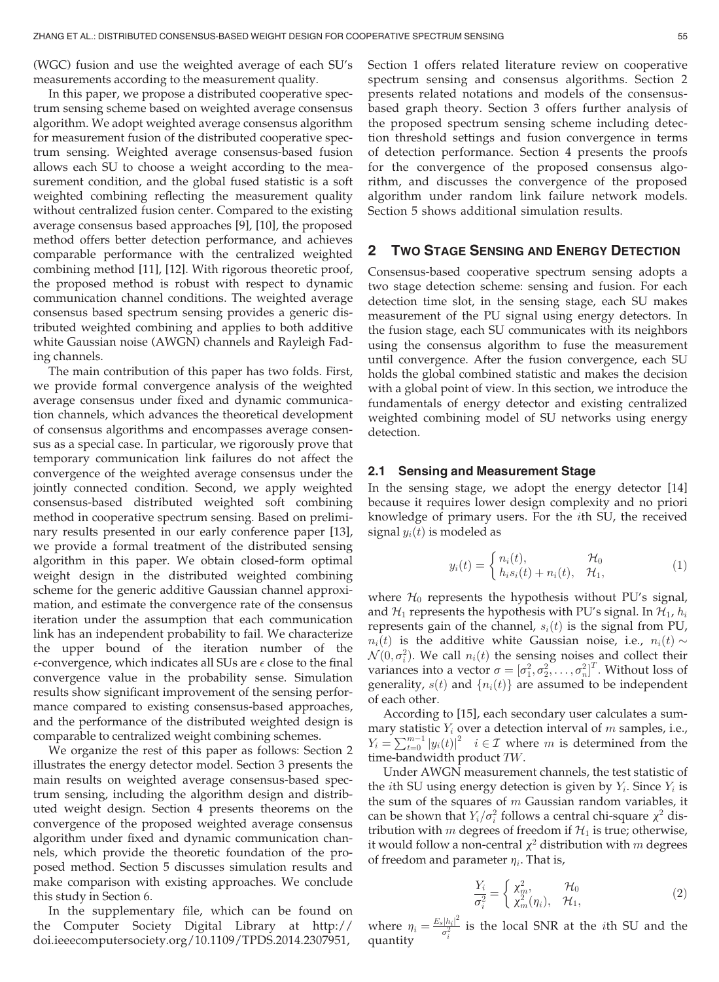(WGC) fusion and use the weighted average of each SU's measurements according to the measurement quality.

In this paper, we propose a distributed cooperative spectrum sensing scheme based on weighted average consensus algorithm. We adopt weighted average consensus algorithm for measurement fusion of the distributed cooperative spectrum sensing. Weighted average consensus-based fusion allows each SU to choose a weight according to the measurement condition, and the global fused statistic is a soft weighted combining reflecting the measurement quality without centralized fusion center. Compared to the existing average consensus based approaches [9], [10], the proposed method offers better detection performance, and achieves comparable performance with the centralized weighted combining method [11], [12]. With rigorous theoretic proof, the proposed method is robust with respect to dynamic communication channel conditions. The weighted average consensus based spectrum sensing provides a generic distributed weighted combining and applies to both additive white Gaussian noise (AWGN) channels and Rayleigh Fading channels.

The main contribution of this paper has two folds. First, we provide formal convergence analysis of the weighted average consensus under fixed and dynamic communication channels, which advances the theoretical development of consensus algorithms and encompasses average consensus as a special case. In particular, we rigorously prove that temporary communication link failures do not affect the convergence of the weighted average consensus under the jointly connected condition. Second, we apply weighted consensus-based distributed weighted soft combining method in cooperative spectrum sensing. Based on preliminary results presented in our early conference paper [13], we provide a formal treatment of the distributed sensing algorithm in this paper. We obtain closed-form optimal weight design in the distributed weighted combining scheme for the generic additive Gaussian channel approximation, and estimate the convergence rate of the consensus iteration under the assumption that each communication link has an independent probability to fail. We characterize the upper bound of the iteration number of the  $\epsilon$ -convergence, which indicates all SUs are  $\epsilon$  close to the final convergence value in the probability sense. Simulation results show significant improvement of the sensing performance compared to existing consensus-based approaches, and the performance of the distributed weighted design is comparable to centralized weight combining schemes.

We organize the rest of this paper as follows: Section 2 illustrates the energy detector model. Section 3 presents the main results on weighted average consensus-based spectrum sensing, including the algorithm design and distributed weight design. Section 4 presents theorems on the convergence of the proposed weighted average consensus algorithm under fixed and dynamic communication channels, which provide the theoretic foundation of the proposed method. Section 5 discusses simulation results and make comparison with existing approaches. We conclude this study in Section 6.

In the supplementary file, which can be found on the Computer Society Digital Library at http:// doi.ieeecomputersociety.org/10.1109/TPDS.2014.2307951,

Section 1 offers related literature review on cooperative spectrum sensing and consensus algorithms. Section 2 presents related notations and models of the consensusbased graph theory. Section 3 offers further analysis of the proposed spectrum sensing scheme including detection threshold settings and fusion convergence in terms of detection performance. Section 4 presents the proofs for the convergence of the proposed consensus algorithm, and discusses the convergence of the proposed algorithm under random link failure network models. Section 5 shows additional simulation results.

#### 2 TWO STAGE SENSING AND ENERGY DETECTION

Consensus-based cooperative spectrum sensing adopts a two stage detection scheme: sensing and fusion. For each detection time slot, in the sensing stage, each SU makes measurement of the PU signal using energy detectors. In the fusion stage, each SU communicates with its neighbors using the consensus algorithm to fuse the measurement until convergence. After the fusion convergence, each SU holds the global combined statistic and makes the decision with a global point of view. In this section, we introduce the fundamentals of energy detector and existing centralized weighted combining model of SU networks using energy detection.

#### 2.1 Sensing and Measurement Stage

In the sensing stage, we adopt the energy detector [14] because it requires lower design complexity and no priori knowledge of primary users. For the ith SU, the received signal  $y_i(t)$  is modeled as

$$
y_i(t) = \begin{cases} n_i(t), & \mathcal{H}_0 \\ h_i s_i(t) + n_i(t), & \mathcal{H}_1, \end{cases}
$$
 (1)

where  $\mathcal{H}_0$  represents the hypothesis without PU's signal, and  $\mathcal{H}_1$  represents the hypothesis with PU's signal. In  $\mathcal{H}_1$ ,  $h_i$ represents gain of the channel,  $s_i(t)$  is the signal from PU,  $n_i(t)$  is the additive white Gaussian noise, i.e.,  $n_i(t) \sim$  $\mathcal{N}(0, \sigma_i^2)$ . We call  $n_i(t)$  the sensing noises and collect their<br>variances into a vector  $\sigma = [\sigma^2, \sigma^2, \sigma^2]^T$ . Without loss of variances into a vector  $\sigma = [\sigma_1^2, \sigma_2^2, \dots, \sigma_n^2]^T$ . Without loss of concrality  $s(t)$  and  $\{p_i(t)\}$  are assumed to be independent variances into a vector  $\sigma = [\sigma_1, \sigma_2, ..., \sigma_n]$ . Without loss of<br>generality,  $s(t)$  and  $\{n_i(t)\}$  are assumed to be independent<br>of each other of each other.

According to [15], each secondary user calculates a summary statistic  $Y_i$  over a detection interval of m samples, i.e.,  $Y_i = \sum_{t=0}^{m-1} |y_i(t)|^2$   $i \in \mathcal{I}$  where m is determined from the time-bandwidth product TW.

Under AWGN measurement channels, the test statistic of the *i*th SU using energy detection is given by  $Y_i$ . Since  $Y_i$  is the sum of the squares of  $m$  Gaussian random variables, it can be shown that  $Y_i/\sigma_i^2$  follows a central chi-square  $\chi^2$  distribution with  $m$  degrees of freedom if  $\mathcal{H}_1$  is true; otherwise, it would follow a non-central  $\chi^2$  distribution with m degrees of freedom and parameter  $\eta_i$ . That is,

$$
\frac{Y_i}{\sigma_i^2} = \begin{cases} \chi_m^2, & \mathcal{H}_0\\ \chi_m^2(\eta_i), & \mathcal{H}_1, \end{cases}
$$
 (2)

where  $\eta_i = \frac{E_s |h_i|^2}{\sigma_i^2}$  $\frac{|\mathcal{H}_i|}{\sigma_i^2}$  is the local SNR at the *i*th SU and the quantity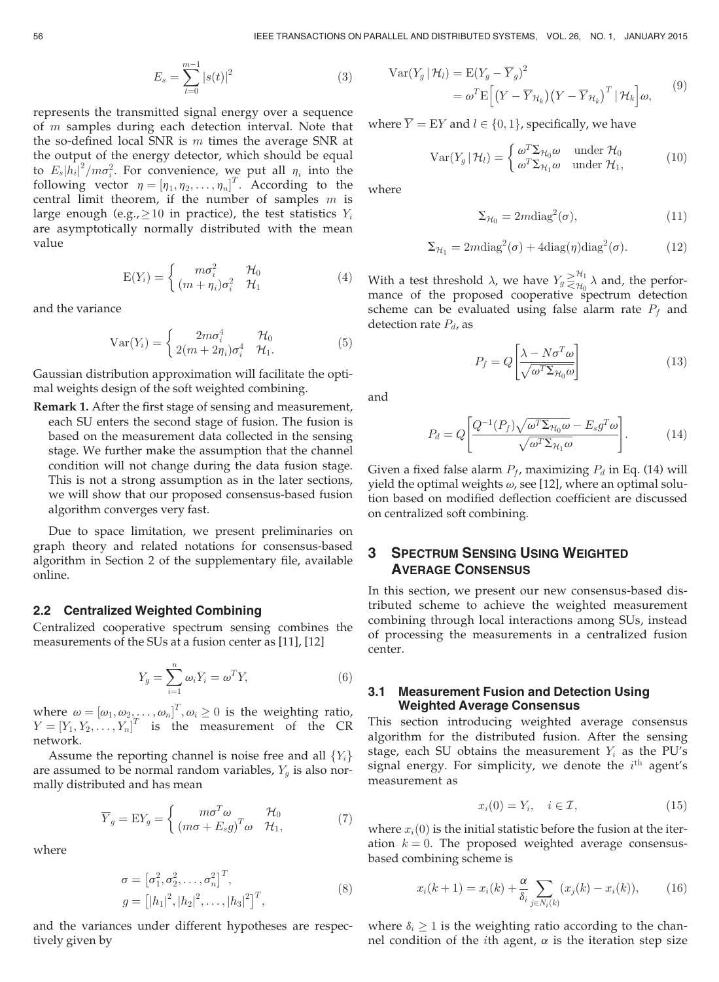$$
E_s = \sum_{t=0}^{m-1} |s(t)|^2
$$
 (3)

represents the transmitted signal energy over a sequence of m samples during each detection interval. Note that the so-defined local SNR is  $m$  times the average SNR at the output of the energy detector, which should be equal to  $E_s |h_i|^2 / m\sigma_i^2$ . For convenience, we put all  $\eta_i$  into the following vector  $n = [n, n_0, \ldots, n]^T$ . According to the following vector  $\eta = [\eta_1, \eta_2, \dots, \eta_n]^T$ . According to the central limit theorem if the number of samples m is central limit theorem, if the number of samples  $m$  is large enough (e.g.,  $\geq$  10 in practice), the test statistics  $Y_i$ are asymptotically normally distributed with the mean value

$$
E(Y_i) = \begin{cases} m\sigma_i^2 & \mathcal{H}_0 \\ (m + \eta_i)\sigma_i^2 & \mathcal{H}_1 \end{cases}
$$
 (4)

and the variance

$$
\operatorname{Var}(Y_i) = \begin{cases} 2m\sigma_i^4 & \mathcal{H}_0 \\ 2(m+2\eta_i)\sigma_i^4 & \mathcal{H}_1. \end{cases}
$$
 (5)

Gaussian distribution approximation will facilitate the optimal weights design of the soft weighted combining.

Remark 1. After the first stage of sensing and measurement, each SU enters the second stage of fusion. The fusion is based on the measurement data collected in the sensing stage. We further make the assumption that the channel condition will not change during the data fusion stage. This is not a strong assumption as in the later sections, we will show that our proposed consensus-based fusion algorithm converges very fast.

Due to space limitation, we present preliminaries on graph theory and related notations for consensus-based algorithm in Section 2 of the supplementary file, available online.

#### 2.2 Centralized Weighted Combining

Centralized cooperative spectrum sensing combines the measurements of the SUs at a fusion center as [11], [12]

$$
Y_g = \sum_{i=1}^n \omega_i Y_i = \omega^T Y,\tag{6}
$$

where  $\omega = [\omega_1, \omega_2, \dots, \omega_n]^T, \omega_i \ge 0$  is the weighting ratio,<br> $Y - [Y, Y_2, Y_1]^T$  is the measurement of the CR  $Y = [Y_1, Y_2, \dots, Y_n]^T$  is the measurement of the CR network.

Assume the reporting channel is noise free and all  ${Y_i}$ are assumed to be normal random variables,  $Y_g$  is also normally distributed and has mean

$$
\overline{Y}_g = \mathbf{E}Y_g = \begin{cases} m\sigma^T\omega & \mathcal{H}_0 \\ (m\sigma + E_s g)^T\omega & \mathcal{H}_1, \end{cases}
$$
 (7)

where

$$
\sigma = [\sigma_1^2, \sigma_2^2, \dots, \sigma_n^2]^T, \ng = [[h_1]^2, |h_2|^2, \dots, |h_3|^2]^T,
$$
\n(8)

and the variances under different hypotheses are respectively given by

$$
\operatorname{Var}(Y_g | \mathcal{H}_l) = \operatorname{E}(Y_g - \overline{Y}_g)^2
$$
  
=  $\omega^T \operatorname{E} \left[ \left( Y - \overline{Y}_{\mathcal{H}_k} \right) \left( Y - \overline{Y}_{\mathcal{H}_k} \right)^T | \mathcal{H}_k \right] \omega,$  (9)

where  $\overline{Y} = EY$  and  $l \in \{0, 1\}$ , specifically, we have

$$
\operatorname{Var}(Y_g | \mathcal{H}_l) = \begin{cases} \omega^T \Sigma_{\mathcal{H}_0} \omega & \text{under } \mathcal{H}_0 \\ \omega^T \Sigma_{\mathcal{H}_1} \omega & \text{under } \mathcal{H}_1, \end{cases}
$$
 (10)

where

$$
\Sigma_{\mathcal{H}_0} = 2m \text{diag}^2(\sigma),\tag{11}
$$

$$
\Sigma_{\mathcal{H}_1} = 2m \text{diag}^2(\sigma) + 4 \text{diag}(\eta) \text{diag}^2(\sigma). \tag{12}
$$

With a test threshold  $\lambda$ , we have  $Y_g \geq \frac{\lambda_1}{\lambda_0} \lambda$  and, the perfor-<br>mance of the proposed cooperative spectrum detection scheme can be evaluated using false alarm rate  $P_f$  and detection rate  $P_d$ , as

$$
P_f = Q \left[ \frac{\lambda - N \sigma^T \omega}{\sqrt{\omega^T \Sigma_{\mathcal{H}_0} \omega}} \right]
$$
(13)

and

$$
P_d = Q \left[ \frac{Q^{-1}(P_f) \sqrt{\omega^T \Sigma_{\mathcal{H}_0 \omega} - E_s g^T \omega}}{\sqrt{\omega^T \Sigma_{\mathcal{H}_1 \omega}}} \right].
$$
 (14)

Given a fixed false alarm  $P_f$ , maximizing  $P_d$  in Eq. (14) will yield the optimal weights  $\omega$ , see [12], where an optimal solution based on modified deflection coefficient are discussed on centralized soft combining.

# 3 SPECTRUM SENSING USING WEIGHTED AVERAGE CONSENSUS

In this section, we present our new consensus-based distributed scheme to achieve the weighted measurement combining through local interactions among SUs, instead of processing the measurements in a centralized fusion center.

## 3.1 Measurement Fusion and Detection Using Weighted Average Consensus

This section introducing weighted average consensus algorithm for the distributed fusion. After the sensing stage, each SU obtains the measurement  $Y_i$  as the PU's signal energy. For simplicity, we denote the  $i^{\rm th}$  agent's measurement as

$$
x_i(0) = Y_i, \quad i \in \mathcal{I}, \tag{15}
$$

where  $x_i(0)$  is the initial statistic before the fusion at the iteration  $k = 0$ . The proposed weighted average consensusbased combining scheme is

$$
x_i(k+1) = x_i(k) + \frac{\alpha}{\delta_i} \sum_{j \in N_i(k)} (x_j(k) - x_i(k)), \qquad (16)
$$

where  $\delta_i \geq 1$  is the weighting ratio according to the channel condition of the *i*th agent,  $\alpha$  is the iteration step size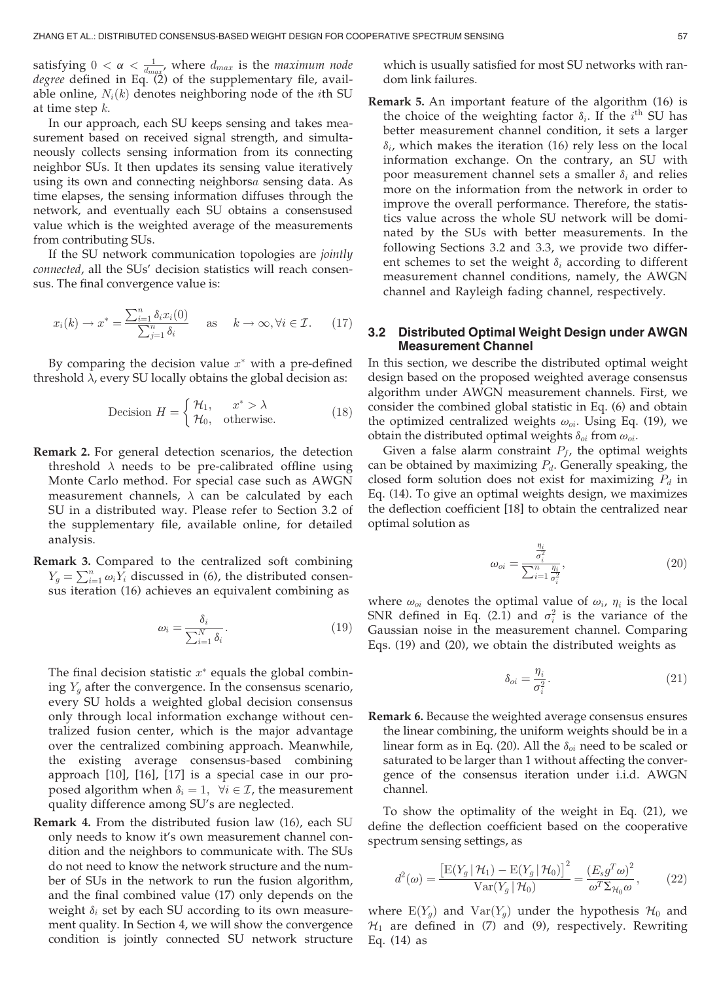satisfying  $0 < \alpha < \frac{1}{d_{max}}$ , where  $d_{max}$  is the *maximum node* degree defined in Eq. (2) of the supplementary file, available online,  $N_i(k)$  denotes neighboring node of the *i*th SU at time step  $k$ .

In our approach, each SU keeps sensing and takes measurement based on received signal strength, and simultaneously collects sensing information from its connecting neighbor SUs. It then updates its sensing value iteratively using its own and connecting neighborsa sensing data. As time elapses, the sensing information diffuses through the network, and eventually each SU obtains a consensused value which is the weighted average of the measurements from contributing SUs.

If the SU network communication topologies are jointly connected, all the SUs' decision statistics will reach consensus. The final convergence value is:

$$
x_i(k) \to x^* = \frac{\sum_{i=1}^n \delta_i x_i(0)}{\sum_{j=1}^n \delta_i} \quad \text{as} \quad k \to \infty, \forall i \in \mathcal{I}.
$$
 (17)

By comparing the decision value  $x^*$  with a pre-defined threshold  $\lambda$ , every SU locally obtains the global decision as:

Decision 
$$
H = \begin{cases} \mathcal{H}_1, & x^* > \lambda \\ \mathcal{H}_0, & \text{otherwise.} \end{cases}
$$
 (18)

- Remark 2. For general detection scenarios, the detection threshold  $\lambda$  needs to be pre-calibrated offline using Monte Carlo method. For special case such as AWGN measurement channels,  $\lambda$  can be calculated by each SU in a distributed way. Please refer to Section 3.2 of the supplementary file, available online, for detailed analysis.
- Remark 3. Compared to the centralized soft combining  $Y_g = \sum_{i=1}^{n} \omega_i \hat{Y}_i$  discussed in (6), the distributed consensus iteration (16) achieves an equivalent combining as sus iteration (16) achieves an equivalent combining as

$$
\omega_i = \frac{\delta_i}{\sum_{i=1}^N \delta_i}.
$$
\n(19)

The final decision statistic  $x^*$  equals the global combining  $Y_q$  after the convergence. In the consensus scenario, every SU holds a weighted global decision consensus only through local information exchange without centralized fusion center, which is the major advantage over the centralized combining approach. Meanwhile, the existing average consensus-based combining approach [10], [16], [17] is a special case in our proposed algorithm when  $\delta_i = 1$ ,  $\forall i \in \mathcal{I}$ , the measurement quality difference among SU's are neglected.

Remark 4. From the distributed fusion law (16), each SU only needs to know it's own measurement channel condition and the neighbors to communicate with. The SUs do not need to know the network structure and the number of SUs in the network to run the fusion algorithm, and the final combined value (17) only depends on the weight  $\delta_i$  set by each SU according to its own measurement quality. In Section 4, we will show the convergence condition is jointly connected SU network structure which is usually satisfied for most SU networks with random link failures.

Remark 5. An important feature of the algorithm (16) is the choice of the weighting factor  $\delta_i$ . If the  $i^{\text{th}}$  SU has better measurement channel condition, it sets a larger  $\delta_i$ , which makes the iteration (16) rely less on the local information exchange. On the contrary, an SU with poor measurement channel sets a smaller  $\delta_i$  and relies more on the information from the network in order to improve the overall performance. Therefore, the statistics value across the whole SU network will be dominated by the SUs with better measurements. In the following Sections 3.2 and 3.3, we provide two different schemes to set the weight  $\delta_i$  according to different measurement channel conditions, namely, the AWGN channel and Rayleigh fading channel, respectively.

### 3.2 Distributed Optimal Weight Design under AWGN Measurement Channel

In this section, we describe the distributed optimal weight design based on the proposed weighted average consensus algorithm under AWGN measurement channels. First, we consider the combined global statistic in Eq. (6) and obtain the optimized centralized weights  $\omega_{oi}$ . Using Eq. (19), we obtain the distributed optimal weights  $\delta_{oi}$  from  $\omega_{oi}$ .

Given a false alarm constraint  $P_f$ , the optimal weights can be obtained by maximizing  $P_d$ . Generally speaking, the closed form solution does not exist for maximizing  $P_d$  in Eq. (14). To give an optimal weights design, we maximizes the deflection coefficient [18] to obtain the centralized near optimal solution as

$$
\omega_{oi} = \frac{\frac{\eta_i}{\sigma_i^2}}{\sum_{i=1}^n \frac{\eta_i}{\sigma_i^2}},\tag{20}
$$

where  $\omega_{oi}$  denotes the optimal value of  $\omega_i$ ,  $\eta_i$  is the local SNR defined in Eq. (2.1) and  $\sigma_i^2$  is the variance of the Gaussian noise in the measurement channel. Comparing Eqs. (19) and (20), we obtain the distributed weights as

$$
\delta_{oi} = \frac{\eta_i}{\sigma_i^2}.\tag{21}
$$

Remark 6. Because the weighted average consensus ensures the linear combining, the uniform weights should be in a linear form as in Eq. (20). All the  $\delta_{oi}$  need to be scaled or saturated to be larger than 1 without affecting the convergence of the consensus iteration under i.i.d. AWGN channel.

To show the optimality of the weight in Eq. (21), we define the deflection coefficient based on the cooperative spectrum sensing settings, as

$$
d^{2}(\omega) = \frac{\left[E(Y_g \mid \mathcal{H}_1) - E(Y_g \mid \mathcal{H}_0)\right]^{2}}{\text{Var}(Y_g \mid \mathcal{H}_0)} = \frac{\left(E_s g^T \omega\right)^{2}}{\omega^T \Sigma_{\mathcal{H}_0} \omega},\tag{22}
$$

where  $E(Y_g)$  and  $Var(Y_g)$  under the hypothesis  $\mathcal{H}_0$  and  $\mathcal{H}_1$  are defined in (7) and (9), respectively. Rewriting Eq. (14) as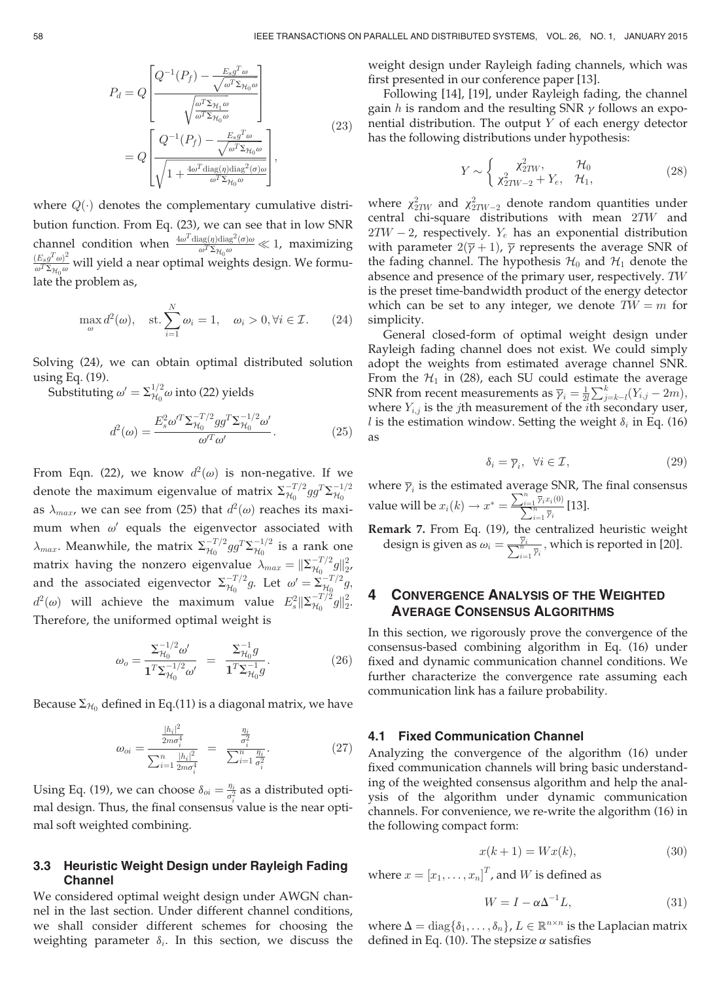$$
P_d = Q \left[ \frac{Q^{-1}(P_f) - \frac{E_s g^T \omega}{\sqrt{\omega^T \Sigma_{\mathcal{H}_0} \omega}}}{\sqrt{\frac{\omega^T \Sigma_{\mathcal{H}_0} \omega}{\omega^T \Sigma_{\mathcal{H}_0} \omega}}}} \right]
$$
\n
$$
= Q \left[ \frac{Q^{-1}(P_f) - \frac{E_s g^T \omega}{\sqrt{\omega^T \Sigma_{\mathcal{H}_0} \omega}}}{\sqrt{1 + \frac{4\omega^T \text{diag}(\eta) \text{diag}^2(\sigma) \omega}{\omega^T \Sigma_{\mathcal{H}_0} \omega}}} \right],
$$
\n(23)

where  $Q(\cdot)$  denotes the complementary cumulative distribution function. From Eq. (23), we can see that in low SNR channel condition when  $\frac{4\omega^T \text{diag}(\eta) \text{diag}^2(\sigma)\omega}{\omega^T \Sigma_{\mathcal{H}_0}\omega} \ll 1$ , maximizing  $\frac{(E_s g^T \omega)^2}{\omega^T \Sigma_{\mathcal{H}_0}\omega}$  will yield a near optimal weights design. We formulate the problem as,

$$
\max_{\omega} d^2(\omega), \quad \text{st.} \sum_{i=1}^N \omega_i = 1, \quad \omega_i > 0, \forall i \in \mathcal{I}. \tag{24}
$$

Solving (24), we can obtain optimal distributed solution using Eq. (19).

Substituting  $\omega' = \sum_{\mathcal{H}_0}^{1/2} \omega$  into (22) yields

$$
d^{2}(\omega) = \frac{E_{s}^{2} \omega^{T} \Sigma_{\mathcal{H}_{0}}^{-T/2} g g^{T} \Sigma_{\mathcal{H}_{0}}^{-1/2} \omega'}{\omega^{T} \omega'}.
$$
 (25)

From Eqn. (22), we know  $d^2(\omega)$  is non-negative. If we denote the maximum eigenvalue of matrix  $\Sigma_{\mathcal{H}_0}^{-T/2} g g^T \Sigma_{\mathcal{H}_0}^{-1/2}$ as  $\lambda_{max}$ , we can see from (25) that  $d^2(\omega)$  reaches its maximum when  $\omega'$  equals the eigenvector associated with  $\lambda_{max}$ . Meanwhile, the matrix  $\Sigma_{\mathcal{H}_0}^{-T/2} gg^T \Sigma_{\mathcal{H}_0}^{-1/2}$  is a rank one matrix having the nonzero eigenvalue  $\lambda_{max} = ||\Sigma_{\mathcal{H}_2}^{-T/2}g||_2^2$ and the associated eigenvector  $\Sigma_{\mathcal{H}_0}^{-T/2}g$ . Let  $\omega' = \Sigma_{\mathcal{H}_0}^{-T/2}g$ ,  $d^2(\omega)$  will achieve the maximum value  $E_s^2 \|\Sigma_{\mathcal{H}_0}^{-T/2}g\|_2^2$ . Therefore, the uniformed optimal weight is

$$
\omega_o = \frac{\Sigma_{\mathcal{H}_0}^{-1/2} \omega'}{\mathbf{1}^T \Sigma_{\mathcal{H}_0}^{-1/2} \omega'} = \frac{\Sigma_{\mathcal{H}_0}^{-1} g}{\mathbf{1}^T \Sigma_{\mathcal{H}_0}^{-1} g}.
$$
 (26)

Because  $\Sigma_{\mathcal{H}_0}$  defined in Eq.(11) is a diagonal matrix, we have

$$
\omega_{oi} = \frac{\frac{|h_i|^2}{2m\sigma_i^2}}{\sum_{i=1}^n \frac{|h_i|^2}{2m\sigma_i^4}} = \frac{\frac{\eta_i}{\sigma_i^2}}{\sum_{i=1}^n \frac{\eta_i}{\sigma_i^2}}.
$$
 (27)

Using Eq. (19), we can choose  $\delta_{oi} = \frac{n_i}{\sigma_i^2}$  as a distributed optimal design. Thus, the final consensus value is the near optimal soft weighted combining.

## 3.3 Heuristic Weight Design under Rayleigh Fading Channel

We considered optimal weight design under AWGN channel in the last section. Under different channel conditions, we shall consider different schemes for choosing the weighting parameter  $\delta_i$ . In this section, we discuss the weight design under Rayleigh fading channels, which was first presented in our conference paper [13].

Following [14], [19], under Rayleigh fading, the channel gain h is random and the resulting SNR  $\gamma$  follows an exponential distribution. The output  $Y$  of each energy detector has the following distributions under hypothesis:

$$
Y \sim \begin{cases} \chi_{2TW}^2, & \mathcal{H}_0 \\ \chi_{2TW-2}^2 + Y_e, & \mathcal{H}_1, \end{cases}
$$
 (28)

where  $\chi^2_{2TW}$  and  $\chi^2_{2TW-2}$  denote random quantities under central chi-square distributions with mean  $2TW$  and  $2TW - 2$ , respectively.  $Y_e$  has an exponential distribution with parameter  $2(\overline{\gamma}+1)$ ,  $\overline{\gamma}$  represents the average SNR of the fading channel. The hypothesis  $\mathcal{H}_0$  and  $\mathcal{H}_1$  denote the absence and presence of the primary user, respectively.  $TW$ is the preset time-bandwidth product of the energy detector which can be set to any integer, we denote  $TW = m$  for simplicity.

General closed-form of optimal weight design under Rayleigh fading channel does not exist. We could simply adopt the weights from estimated average channel SNR. From the  $H_1$  in (28), each SU could estimate the average SNR from recent measurements as  $\overline{\gamma}_i = \frac{1}{2l} \sum_{j=k-l}^{k} (Y_{i,j} - 2m)$ , where  $Y_i$  is the *i*th measurement of the *i*th secondary user where  $Y_{i,j}$  is the *j*th measurement of the *i*th secondary user, *l* is the estimation window. Setting the weight  $\delta_i$  in Eq. (16) as

$$
\delta_i = \overline{\gamma}_i, \ \forall i \in \mathcal{I}, \tag{29}
$$

where  $\overline{\gamma}_i$  is the estimated average SNR, The final consensus value will be  $x_i(k) \to x^* = \frac{\sum_{i=1}^n \overline{y}_i x_i(0)}{\sum_{i=1}^n \overline{y}_i}$  [13].

**Remark 7.** From Eq. (19), the centralized heuristic weight design is given as  $\omega_i = \frac{\overline{\gamma}_i}{\sum_{i=1}^n \overline{\gamma}_i}$ , which is reported in [20].

## 4 CONVERGENCE ANALYSIS OF THE WEIGHTED AVERAGE CONSENSUS ALGORITHMS

In this section, we rigorously prove the convergence of the consensus-based combining algorithm in Eq. (16) under fixed and dynamic communication channel conditions. We further characterize the convergence rate assuming each communication link has a failure probability.

### 4.1 Fixed Communication Channel

Analyzing the convergence of the algorithm (16) under fixed communication channels will bring basic understanding of the weighted consensus algorithm and help the analysis of the algorithm under dynamic communication channels. For convenience, we re-write the algorithm (16) in the following compact form:

$$
x(k+1) = Wx(k),\tag{30}
$$

where  $x = [x_1, \ldots, x_n]^T$ , and W is defined as

$$
W = I - \alpha \Delta^{-1} L,\tag{31}
$$

where  $\Delta = \text{diag}\{\delta_1, \ldots, \delta_n\}$ ,  $L \in \mathbb{R}^{n \times n}$  is the Laplacian matrix defined in Eq. (10). The stensize  $\alpha$  satisfies defined in Eq. (10). The stepsize  $\alpha$  satisfies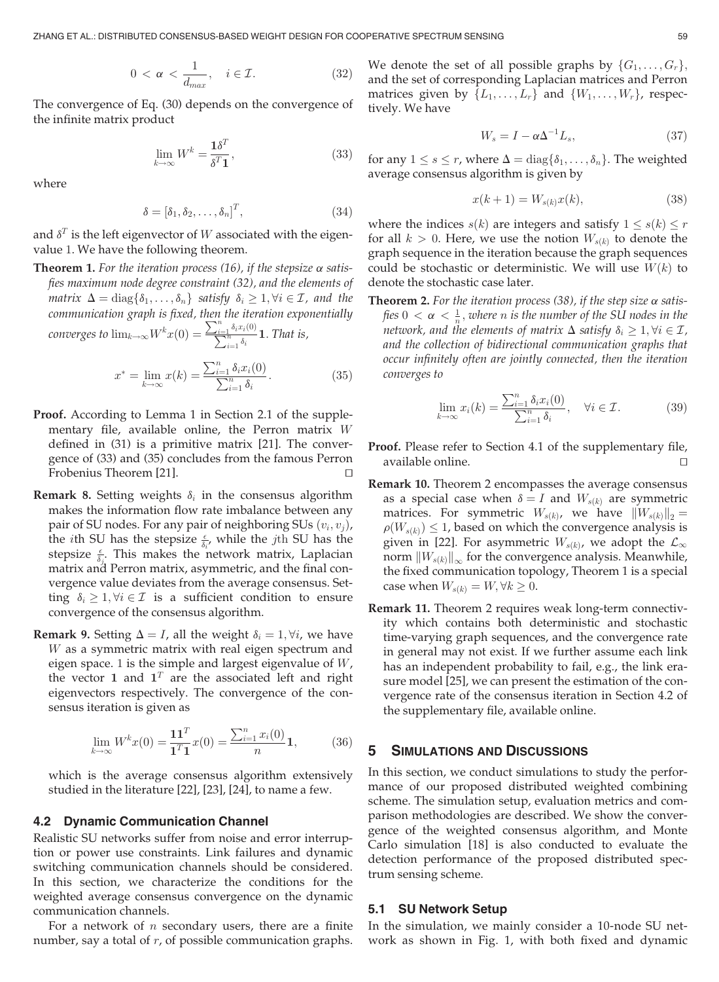$$
0 < \alpha < \frac{1}{d_{max}}, \quad i \in \mathcal{I}.\tag{32}
$$

The convergence of Eq. (30) depends on the convergence of the infinite matrix product

$$
\lim_{k \to \infty} W^k = \frac{\mathbf{1}\delta^T}{\delta^T \mathbf{1}},\tag{33}
$$

where

$$
\delta = [\delta_1, \delta_2, \dots, \delta_n]^T, \tag{34}
$$

and  $\delta^T$  is the left eigenvector of W associated with the eigenvalue 1. We have the following theorem.

**Theorem 1.** For the iteration process (16), if the stepsize  $\alpha$  satisfies maximum node degree constraint (32), and the elements of matrix  $\Delta = \text{diag}\{\delta_1, \ldots, \delta_n\}$  satisfy  $\delta_i \geq 1, \forall i \in \mathcal{I}$ , and the communication graph is fixed, then the iteration exponentially converges to  $\lim_{k\to\infty} W^k x(0) = \frac{\sum_{i=1}^n \delta_i x_i(0)}{\sum_{i=1}^n \delta_i}$  **1**. That is,

$$
x^* = \lim_{k \to \infty} x(k) = \frac{\sum_{i=1}^n \delta_i x_i(0)}{\sum_{i=1}^n \delta_i}.
$$
 (35)

- Proof. According to Lemma 1 in Section 2.1 of the supplementary file, available online, the Perron matrix W defined in (31) is a primitive matrix [21]. The convergence of (33) and (35) concludes from the famous Perron Frobenius Theorem [21].  $\Box$
- **Remark 8.** Setting weights  $\delta_i$  in the consensus algorithm makes the information flow rate imbalance between any pair of SU nodes. For any pair of neighboring SUs  $(v_i, v_j)$ , the *i*th SU has the stepsize  $\frac{\epsilon}{\delta t}$ , while the *j*th SU has the die *die die die stepsize*  $\delta_i$ , while the *jun bo* has the stepsize  $\delta_{i,j}$ . This makes the network matrix, Laplacian matrix and Perron matrix, asymmetric, and the final convergence value deviates from the average consensus. Setting  $\delta_i \geq 1, \forall i \in \mathcal{I}$  is a sufficient condition to ensure convergence of the consensus algorithm.
- **Remark 9.** Setting  $\Delta = I$ , all the weight  $\delta_i = 1, \forall i$ , we have W as a symmetric matrix with real eigen spectrum and eigen space. 1 is the simple and largest eigenvalue of  $W$ , the vector 1 and  $1<sup>T</sup>$  are the associated left and right eigenvectors respectively. The convergence of the consensus iteration is given as

$$
\lim_{k \to \infty} W^k x(0) = \frac{\mathbf{1} \mathbf{1}^T}{\mathbf{1}^T \mathbf{1}} x(0) = \frac{\sum_{i=1}^n x_i(0)}{n} \mathbf{1},\tag{36}
$$

which is the average consensus algorithm extensively studied in the literature [22], [23], [24], to name a few.

#### 4.2 Dynamic Communication Channel

Realistic SU networks suffer from noise and error interruption or power use constraints. Link failures and dynamic switching communication channels should be considered. In this section, we characterize the conditions for the weighted average consensus convergence on the dynamic communication channels.

For a network of  $n$  secondary users, there are a finite number, say a total of  $r$ , of possible communication graphs.

We denote the set of all possible graphs by  $\{G_1, \ldots, G_r\}$ , and the set of corresponding Laplacian matrices and Perron matrices given by  $\{L_1, \ldots, L_r\}$  and  $\{W_1, \ldots, W_r\}$ , respectively. We have

$$
W_s = I - \alpha \Delta^{-1} L_s, \qquad (37)
$$

for any  $1 \leq s \leq r$ , where  $\Delta = \text{diag}\{\delta_1, \ldots, \delta_n\}$ . The weighted average consensus algorithm is given by

$$
x(k+1) = W_{s(k)}x(k),
$$
 (38)

where the indices  $s(k)$  are integers and satisfy  $1 \leq s(k) \leq r$ for all  $k > 0$ . Here, we use the notion  $W_{s(k)}$  to denote the graph sequence in the iteration because the graph sequences could be stochastic or deterministic. We will use  $W(k)$  to denote the stochastic case later.

**Theorem 2.** For the iteration process (38), if the step size  $\alpha$  satisfies  $0 < \alpha < \frac{1}{n}$ , where n is the number of the SU nodes in the network, and the elements of matrix  $\Delta$  satisfy  $\delta_i \geq 1, \forall i \in \mathcal{I}$ , and the collection of bidirectional communication graphs that occur infinitely often are jointly connected, then the iteration converges to

$$
\lim_{k \to \infty} x_i(k) = \frac{\sum_{i=1}^n \delta_i x_i(0)}{\sum_{i=1}^n \delta_i}, \quad \forall i \in \mathcal{I}.
$$
 (39)

- Proof. Please refer to Section 4.1 of the supplementary file, available online.
- Remark 10. Theorem 2 encompasses the average consensus as a special case when  $\delta = I$  and  $W_{s(k)}$  are symmetric matrices. For symmetric  $W_{s(k)}$ , we have  $\|W_{s(k)}\|_2 =$  $\rho(W_{s(k)}) \leq 1$ , based on which the convergence analysis is given in [22]. For asymmetric  $W_{s(k)}$ , we adopt the  $\mathcal{L}_{\infty}$ norm  $||W_{s(k)}||_{\infty}$  for the convergence analysis. Meanwhile, the fixed communication topology, Theorem 1 is a special case when  $W_{s(k)} = W, \forall k \geq 0$ .
- Remark 11. Theorem 2 requires weak long-term connectivity which contains both deterministic and stochastic time-varying graph sequences, and the convergence rate in general may not exist. If we further assume each link has an independent probability to fail, e.g., the link erasure model [25], we can present the estimation of the convergence rate of the consensus iteration in Section 4.2 of the supplementary file, available online.

## 5 SIMULATIONS AND DISCUSSIONS

In this section, we conduct simulations to study the performance of our proposed distributed weighted combining scheme. The simulation setup, evaluation metrics and comparison methodologies are described. We show the convergence of the weighted consensus algorithm, and Monte Carlo simulation [18] is also conducted to evaluate the detection performance of the proposed distributed spectrum sensing scheme.

#### 5.1 SU Network Setup

In the simulation, we mainly consider a 10-node SU network as shown in Fig. 1, with both fixed and dynamic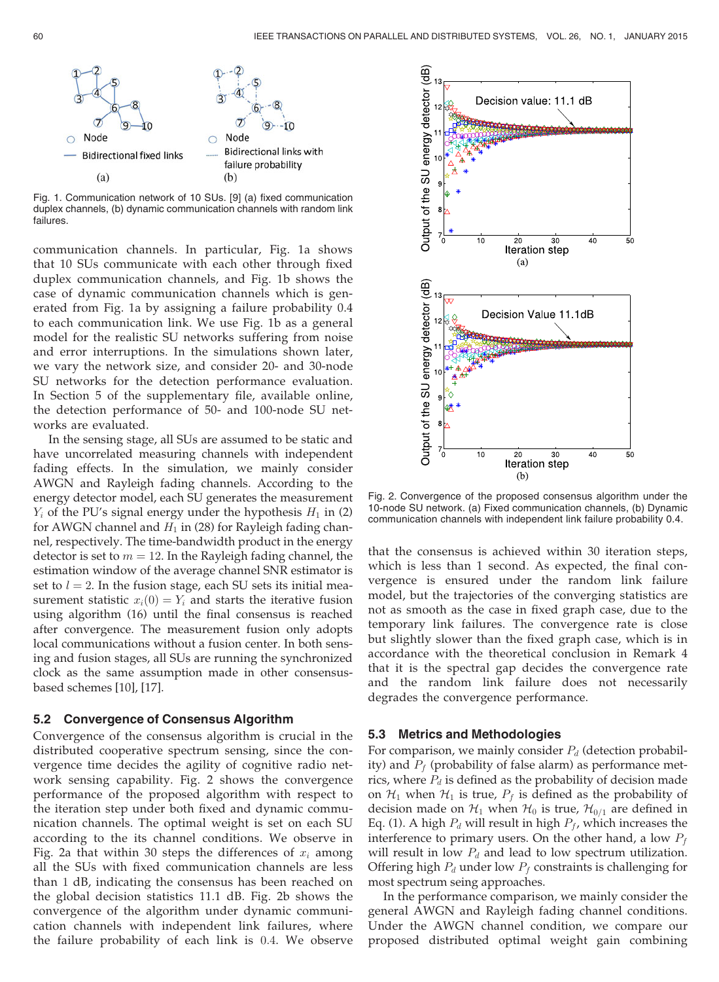

Fig. 1. Communication network of 10 SUs. [9] (a) fixed communication duplex channels, (b) dynamic communication channels with random link failures.

communication channels. In particular, Fig. 1a shows that 10 SUs communicate with each other through fixed duplex communication channels, and Fig. 1b shows the case of dynamic communication channels which is generated from Fig. 1a by assigning a failure probability 0.4 to each communication link. We use Fig. 1b as a general model for the realistic SU networks suffering from noise and error interruptions. In the simulations shown later, we vary the network size, and consider 20- and 30-node SU networks for the detection performance evaluation. In Section 5 of the supplementary file, available online, the detection performance of 50- and 100-node SU networks are evaluated.

In the sensing stage, all SUs are assumed to be static and have uncorrelated measuring channels with independent fading effects. In the simulation, we mainly consider AWGN and Rayleigh fading channels. According to the energy detector model, each SU generates the measurement  $Y_i$  of the PU's signal energy under the hypothesis  $H_1$  in (2) for AWGN channel and  $H_1$  in (28) for Rayleigh fading channel, respectively. The time-bandwidth product in the energy detector is set to  $m = 12$ . In the Rayleigh fading channel, the estimation window of the average channel SNR estimator is set to  $l = 2$ . In the fusion stage, each SU sets its initial measurement statistic  $x_i(0) = Y_i$  and starts the iterative fusion using algorithm (16) until the final consensus is reached after convergence. The measurement fusion only adopts local communications without a fusion center. In both sensing and fusion stages, all SUs are running the synchronized clock as the same assumption made in other consensusbased schemes [10], [17].

### 5.2 Convergence of Consensus Algorithm

Convergence of the consensus algorithm is crucial in the distributed cooperative spectrum sensing, since the convergence time decides the agility of cognitive radio network sensing capability. Fig. 2 shows the convergence performance of the proposed algorithm with respect to the iteration step under both fixed and dynamic communication channels. The optimal weight is set on each SU according to the its channel conditions. We observe in Fig. 2a that within 30 steps the differences of  $x_i$  among all the SUs with fixed communication channels are less than 1 dB, indicating the consensus has been reached on the global decision statistics 11.1 dB. Fig. 2b shows the convergence of the algorithm under dynamic communication channels with independent link failures, where the failure probability of each link is 0.4. We observe



Fig. 2. Convergence of the proposed consensus algorithm under the 10-node SU network. (a) Fixed communication channels, (b) Dynamic communication channels with independent link failure probability 0.4.

that the consensus is achieved within 30 iteration steps, which is less than 1 second. As expected, the final convergence is ensured under the random link failure model, but the trajectories of the converging statistics are not as smooth as the case in fixed graph case, due to the temporary link failures. The convergence rate is close but slightly slower than the fixed graph case, which is in accordance with the theoretical conclusion in Remark 4 that it is the spectral gap decides the convergence rate and the random link failure does not necessarily degrades the convergence performance.

#### 5.3 Metrics and Methodologies

For comparison, we mainly consider  $P_d$  (detection probability) and  $P_f$  (probability of false alarm) as performance metrics, where  $P_d$  is defined as the probability of decision made on  $\mathcal{H}_1$  when  $\mathcal{H}_1$  is true,  $P_f$  is defined as the probability of decision made on  $\mathcal{H}_1$  when  $\mathcal{H}_0$  is true,  $\mathcal{H}_{0/1}$  are defined in Eq. (1). A high  $P_d$  will result in high  $P_f$ , which increases the interference to primary users. On the other hand, a low  $P_f$ will result in low  $P_d$  and lead to low spectrum utilization. Offering high  $P_d$  under low  $P_f$  constraints is challenging for most spectrum seing approaches.

In the performance comparison, we mainly consider the general AWGN and Rayleigh fading channel conditions. Under the AWGN channel condition, we compare our proposed distributed optimal weight gain combining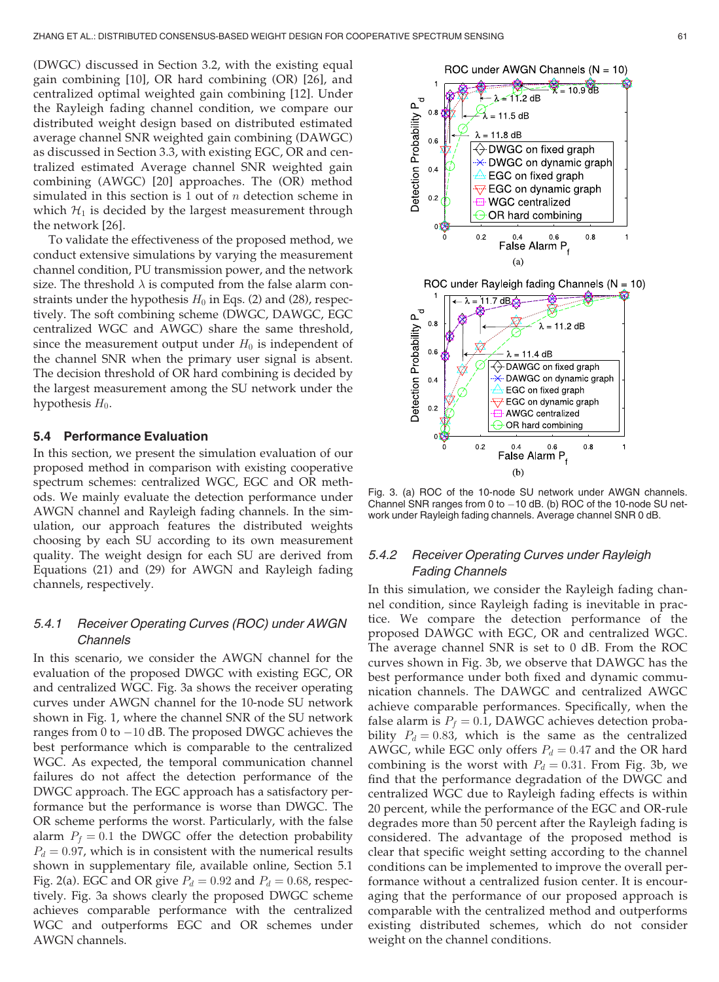(DWGC) discussed in Section 3.2, with the existing equal gain combining [10], OR hard combining (OR) [26], and centralized optimal weighted gain combining [12]. Under the Rayleigh fading channel condition, we compare our distributed weight design based on distributed estimated average channel SNR weighted gain combining (DAWGC) as discussed in Section 3.3, with existing EGC, OR and centralized estimated Average channel SNR weighted gain combining (AWGC) [20] approaches. The (OR) method simulated in this section is 1 out of  $n$  detection scheme in which  $H_1$  is decided by the largest measurement through the network [26].

To validate the effectiveness of the proposed method, we conduct extensive simulations by varying the measurement channel condition, PU transmission power, and the network size. The threshold  $\lambda$  is computed from the false alarm constraints under the hypothesis  $H_0$  in Eqs. (2) and (28), respectively. The soft combining scheme (DWGC, DAWGC, EGC centralized WGC and AWGC) share the same threshold, since the measurement output under  $H_0$  is independent of the channel SNR when the primary user signal is absent. The decision threshold of OR hard combining is decided by the largest measurement among the SU network under the hypothesis  $H_0$ .

## 5.4 Performance Evaluation

In this section, we present the simulation evaluation of our proposed method in comparison with existing cooperative spectrum schemes: centralized WGC, EGC and OR methods. We mainly evaluate the detection performance under AWGN channel and Rayleigh fading channels. In the simulation, our approach features the distributed weights choosing by each SU according to its own measurement quality. The weight design for each SU are derived from Equations (21) and (29) for AWGN and Rayleigh fading channels, respectively.

# 5.4.1 Receiver Operating Curves (ROC) under AWGN Channels

In this scenario, we consider the AWGN channel for the evaluation of the proposed DWGC with existing EGC, OR and centralized WGC. Fig. 3a shows the receiver operating curves under AWGN channel for the 10-node SU network shown in Fig. 1, where the channel SNR of the SU network ranges from 0 to  $-10$  dB. The proposed DWGC achieves the best performance which is comparable to the centralized WGC. As expected, the temporal communication channel failures do not affect the detection performance of the DWGC approach. The EGC approach has a satisfactory performance but the performance is worse than DWGC. The OR scheme performs the worst. Particularly, with the false alarm  $P_f = 0.1$  the DWGC offer the detection probability  $P_d = 0.97$ , which is in consistent with the numerical results shown in supplementary file, available online, Section 5.1 Fig. 2(a). EGC and OR give  $P_d = 0.92$  and  $P_d = 0.68$ , respectively. Fig. 3a shows clearly the proposed DWGC scheme achieves comparable performance with the centralized WGC and outperforms EGC and OR schemes under AWGN channels.



Fig. 3. (a) ROC of the 10-node SU network under AWGN channels. Channel SNR ranges from 0 to  $-10$  dB. (b) ROC of the 10-node SU network under Rayleigh fading channels. Average channel SNR 0 dB.

# 5.4.2 Receiver Operating Curves under Rayleigh Fading Channels

In this simulation, we consider the Rayleigh fading channel condition, since Rayleigh fading is inevitable in practice. We compare the detection performance of the proposed DAWGC with EGC, OR and centralized WGC. The average channel SNR is set to 0 dB. From the ROC curves shown in Fig. 3b, we observe that DAWGC has the best performance under both fixed and dynamic communication channels. The DAWGC and centralized AWGC achieve comparable performances. Specifically, when the false alarm is  $P_f = 0.1$ , DAWGC achieves detection probability  $P_d = 0.83$ , which is the same as the centralized AWGC, while EGC only offers  $P_d = 0.47$  and the OR hard combining is the worst with  $P_d = 0.31$ . From Fig. 3b, we find that the performance degradation of the DWGC and centralized WGC due to Rayleigh fading effects is within 20 percent, while the performance of the EGC and OR-rule degrades more than 50 percent after the Rayleigh fading is considered. The advantage of the proposed method is clear that specific weight setting according to the channel conditions can be implemented to improve the overall performance without a centralized fusion center. It is encouraging that the performance of our proposed approach is comparable with the centralized method and outperforms existing distributed schemes, which do not consider weight on the channel conditions.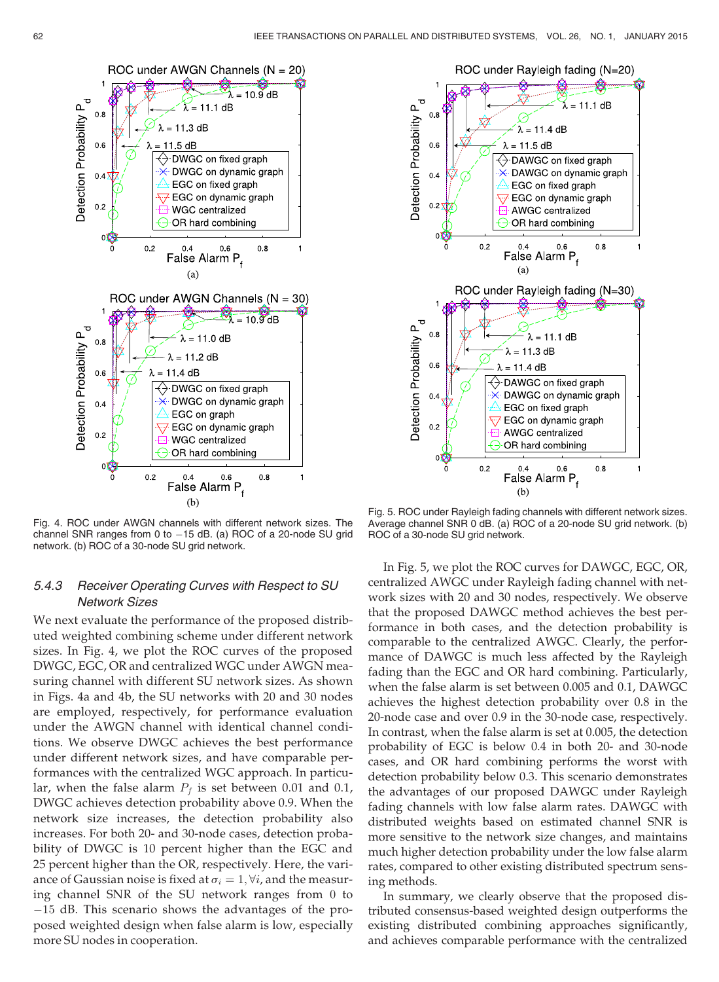

Fig. 4. ROC under AWGN channels with different network sizes. The channel SNR ranges from 0 to  $-15$  dB. (a) ROC of a 20-node SU grid network. (b) ROC of a 30-node SU grid network.

# 5.4.3 Receiver Operating Curves with Respect to SU Network Sizes

We next evaluate the performance of the proposed distributed weighted combining scheme under different network sizes. In Fig. 4, we plot the ROC curves of the proposed DWGC, EGC, OR and centralized WGC under AWGN measuring channel with different SU network sizes. As shown in Figs. 4a and 4b, the SU networks with 20 and 30 nodes are employed, respectively, for performance evaluation under the AWGN channel with identical channel conditions. We observe DWGC achieves the best performance under different network sizes, and have comparable performances with the centralized WGC approach. In particular, when the false alarm  $P_f$  is set between 0.01 and 0.1, DWGC achieves detection probability above 0.9. When the network size increases, the detection probability also increases. For both 20- and 30-node cases, detection probability of DWGC is 10 percent higher than the EGC and 25 percent higher than the OR, respectively. Here, the variance of Gaussian noise is fixed at  $\sigma_i = 1, \forall i$ , and the measuring channel SNR of the SU network ranges from 0 to  $-15$  dB. This scenario shows the advantages of the proposed weighted design when false alarm is low, especially more SU nodes in cooperation.



Fig. 5. ROC under Rayleigh fading channels with different network sizes. Average channel SNR 0 dB. (a) ROC of a 20-node SU grid network. (b) ROC of a 30-node SU grid network.

In Fig. 5, we plot the ROC curves for DAWGC, EGC, OR, centralized AWGC under Rayleigh fading channel with network sizes with 20 and 30 nodes, respectively. We observe that the proposed DAWGC method achieves the best performance in both cases, and the detection probability is comparable to the centralized AWGC. Clearly, the performance of DAWGC is much less affected by the Rayleigh fading than the EGC and OR hard combining. Particularly, when the false alarm is set between 0.005 and 0.1, DAWGC achieves the highest detection probability over 0.8 in the 20-node case and over 0.9 in the 30-node case, respectively. In contrast, when the false alarm is set at 0.005, the detection probability of EGC is below 0.4 in both 20- and 30-node cases, and OR hard combining performs the worst with detection probability below 0.3. This scenario demonstrates the advantages of our proposed DAWGC under Rayleigh fading channels with low false alarm rates. DAWGC with distributed weights based on estimated channel SNR is more sensitive to the network size changes, and maintains much higher detection probability under the low false alarm rates, compared to other existing distributed spectrum sensing methods.

In summary, we clearly observe that the proposed distributed consensus-based weighted design outperforms the existing distributed combining approaches significantly, and achieves comparable performance with the centralized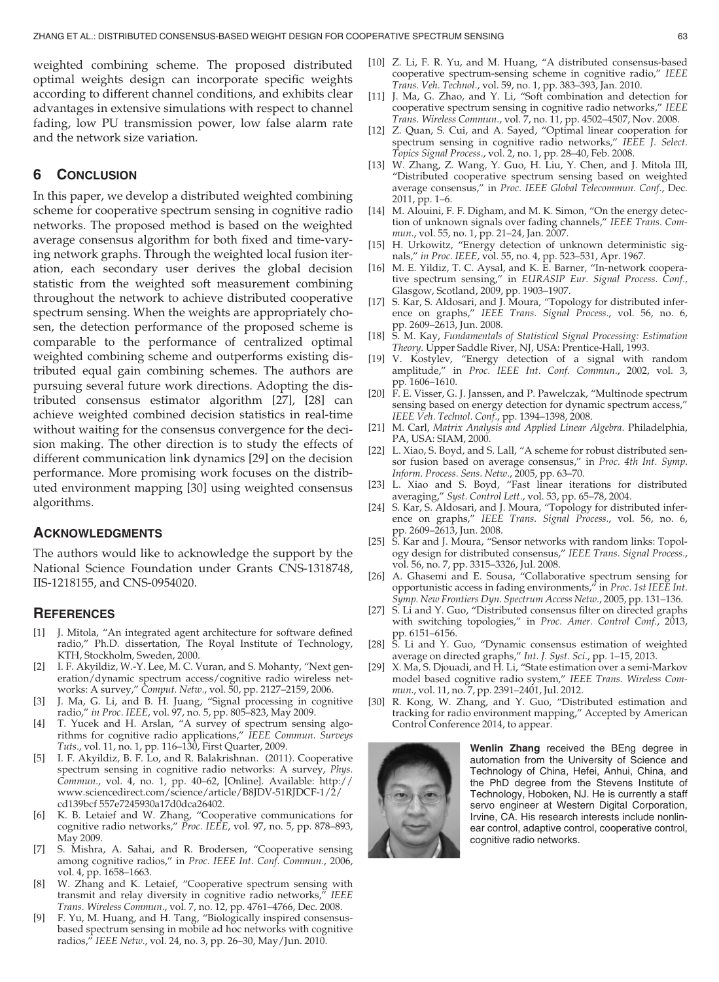weighted combining scheme. The proposed distributed optimal weights design can incorporate specific weights according to different channel conditions, and exhibits clear advantages in extensive simulations with respect to channel fading, low PU transmission power, low false alarm rate and the network size variation.

## 6 CONCLUSION

In this paper, we develop a distributed weighted combining scheme for cooperative spectrum sensing in cognitive radio networks. The proposed method is based on the weighted average consensus algorithm for both fixed and time-varying network graphs. Through the weighted local fusion iteration, each secondary user derives the global decision statistic from the weighted soft measurement combining throughout the network to achieve distributed cooperative spectrum sensing. When the weights are appropriately chosen, the detection performance of the proposed scheme is comparable to the performance of centralized optimal weighted combining scheme and outperforms existing distributed equal gain combining schemes. The authors are pursuing several future work directions. Adopting the distributed consensus estimator algorithm [27], [28] can achieve weighted combined decision statistics in real-time without waiting for the consensus convergence for the decision making. The other direction is to study the effects of different communication link dynamics [29] on the decision performance. More promising work focuses on the distributed environment mapping [30] using weighted consensus algorithms.

### ACKNOWLEDGMENTS

The authors would like to acknowledge the support by the National Science Foundation under Grants CNS-1318748, IIS-1218155, and CNS-0954020.

## **REFERENCES**

- [1] J. Mitola, "An integrated agent architecture for software defined radio," Ph.D. dissertation, The Royal Institute of Technology, KTH, Stockholm, Sweden, 2000.
- [2] I. F. Akyildiz, W.-Y. Lee, M. C. Vuran, and S. Mohanty, "Next generation/dynamic spectrum access/cognitive radio wireless networks: A survey," Comput. Netw., vol. 50, pp. 2127–2159, 2006.
- [3] J. Ma, G. Li, and B. H. Juang, "Signal processing in cognitive radio," in Proc. IEEE, vol. 97, no. 5, pp. 805–823, May 2009.
- [4] T. Yucek and H. Arslan, "A survey of spectrum sensing algorithms for cognitive radio applications," IEEE Commun. Surveys Tuts., vol. 11, no. 1, pp. 116–130, First Quarter, 2009.
- [5] I. F. Akyildiz, B. F. Lo, and R. Balakrishnan. (2011). Cooperative spectrum sensing in cognitive radio networks: A survey, Phys. Commun., vol. 4, no. 1, pp. 40–62, [Online]. Available: http:// www.sciencedirect.com/science/article/B8JDV-51RJDCF-1/2/ cd139bcf 557e7245930a17d0dca26402.
- [6] K. B. Letaief and W. Zhang, "Cooperative communications for cognitive radio networks," Proc. IEEE, vol. 97, no. 5, pp. 878–893, May 2009.
- [7] S. Mishra, A. Sahai, and R. Brodersen, "Cooperative sensing among cognitive radios," in Proc. IEEE Int. Conf. Commun., 2006, vol. 4, pp. 1658–1663.
- [8] W. Zhang and K. Letaief, "Cooperative spectrum sensing with transmit and relay diversity in cognitive radio networks," IEEE Trans. Wireless Commun., vol. 7, no. 12, pp. 4761–4766, Dec. 2008.
- [9] F. Yu, M. Huang, and H. Tang, "Biologically inspired consensusbased spectrum sensing in mobile ad hoc networks with cognitive radios," IEEE Netw., vol. 24, no. 3, pp. 26–30, May/Jun. 2010.
- [10] Z. Li, F. R. Yu, and M. Huang, "A distributed consensus-based cooperative spectrum-sensing scheme in cognitive radio," IEEE Trans. Veh. Technol., vol. 59, no. 1, pp. 383–393, Jan. 2010.
- [11] J. Ma, G. Zhao, and Y. Li, "Soft combination and detection for cooperative spectrum sensing in cognitive radio networks," IEEE Trans. Wireless Commun., vol. 7, no. 11, pp. 4502–4507, Nov. 2008.
- [12] Z. Quan, S. Cui, and A. Sayed, "Optimal linear cooperation for spectrum sensing in cognitive radio networks," IEEE J. Select. Topics Signal Process., vol. 2, no. 1, pp. 28–40, Feb. 2008.
- [13] W. Zhang, Z. Wang, Y. Guo, H. Liu, Y. Chen, and J. Mitola III, "Distributed cooperative spectrum sensing based on weighted average consensus," in Proc. IEEE Global Telecommun. Conf., Dec. 2011, pp. 1–6.
- [14] M. Alouini, F. F. Digham, and M. K. Simon, "On the energy detection of unknown signals over fading channels," IEEE Trans. Commun., vol. 55, no. 1, pp. 21-24, Jan. 2007.
- [15] H. Urkowitz, "Energy detection of unknown deterministic signals," in Proc. IEEE, vol. 55, no. 4, pp. 523–531, Apr. 1967.
- [16] M. E. Yildiz, T. C. Aysal, and K. E. Barner, "In-network cooperative spectrum sensing," in EURASIP Eur. Signal Process. Conf., Glasgow, Scotland, 2009, pp. 1903–1907.
- [17] S. Kar, S. Aldosari, and J. Moura, "Topology for distributed inference on graphs," IEEE Trans. Signal Process., vol. 56, no. 6, pp. 2609–2613, Jun. 2008.
- [18] S. M. Kay, Fundamentals of Statistical Signal Processing: Estimation Theory. Upper Saddle River, NJ, USA: Prentice-Hall, 1993.
- [19] V. Kostylev, "Energy detection of a signal with random amplitude," in Proc. IEEE Int. Conf. Commun., 2002, vol. 3, pp. 1606–1610.
- [20] F. E. Visser, G. J. Janssen, and P. Pawelczak, "Multinode spectrum sensing based on energy detection for dynamic spectrum access," IEEE Veh. Technol. Conf., pp. 1394–1398, 2008.
- [21] M. Carl, Matrix Analysis and Applied Linear Algebra. Philadelphia, PA, USA: SIAM, 2000.
- [22] L. Xiao, S. Boyd, and S. Lall, "A scheme for robust distributed sensor fusion based on average consensus," in Proc. 4th Int. Symp. Inform. Process. Sens. Netw., 2005, pp. 63–70.
- [23] L. Xiao and S. Boyd, "Fast linear iterations for distributed averaging," Syst. Control Lett., vol. 53, pp. 65–78, 2004.
- [24] S. Kar, S. Aldosari, and J. Moura, "Topology for distributed inference on graphs," IEEE Trans. Signal Process., vol. 56, no. 6, pp. 2609–2613, Jun. 2008.
- [25] S. Kar and J. Moura, "Sensor networks with random links: Topology design for distributed consensus," IEEE Trans. Signal Process., vol. 56, no. 7, pp. 3315–3326, Jul. 2008.
- [26] A. Ghasemi and E. Sousa, "Collaborative spectrum sensing for opportunistic access in fading environments," in Proc. 1st IEEE Int. Symp. New Frontiers Dyn. Spectrum Access Netw., 2005, pp. 131–136.
- [27] S. Li and Y. Guo, "Distributed consensus filter on directed graphs with switching topologies," in Proc. Amer. Control Conf., 2013, pp. 6151–6156.
- [28] S. Li and Y. Guo, "Dynamic consensus estimation of weighted average on directed graphs," Int. J. Syst. Sci., pp. 1–15, 2013.
- [29] X. Ma, S. Djouadi, and H. Li, "State estimation over a semi-Markov model based cognitive radio system," IEEE Trans. Wireless Commun., vol. 11, no. 7, pp. 2391–2401, Jul. 2012.
- [30] R. Kong, W. Zhang, and Y. Guo, "Distributed estimation and tracking for radio environment mapping," Accepted by American Control Conference 2014, to appear.



Wenlin Zhang received the BEng degree in automation from the University of Science and Technology of China, Hefei, Anhui, China, and the PhD degree from the Stevens Institute of Technology, Hoboken, NJ. He is currently a staff servo engineer at Western Digital Corporation, Irvine, CA. His research interests include nonlinear control, adaptive control, cooperative control, cognitive radio networks.